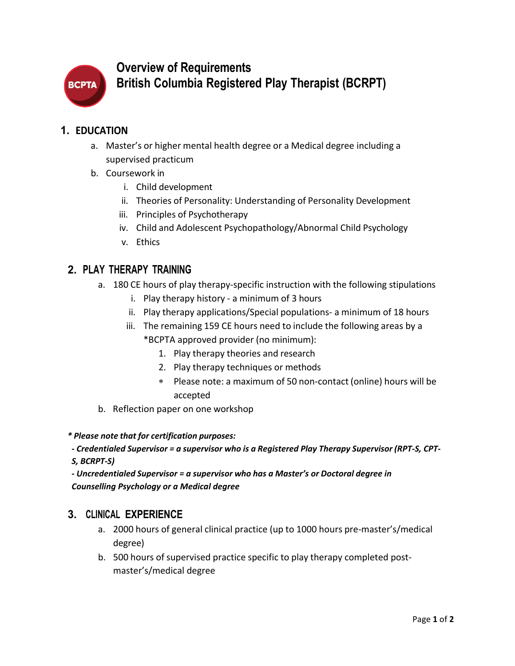

# **Overview of Requirements British Columbia Registered Play Therapist (BCRPT)**

#### **1. EDUCATION**

- a. Master's or higher mental health degree or a Medical degree including a supervised practicum
- b. Coursework in
	- i. Child development
	- ii. Theories of Personality: Understanding of Personality Development
	- iii. Principles of Psychotherapy
	- iv. Child and Adolescent Psychopathology/Abnormal Child Psychology
	- v. Ethics

# **2. PLAY THERAPY TRAINING**

- a. 180 CE hours of play therapy-specific instruction with the following stipulations
	- i. Play therapy history a minimum of 3 hours
	- ii. Play therapy applications/Special populations- a minimum of 18 hours
	- iii. The remaining 159 CE hours need to include the following areas by a \*BCPTA approved provider (no minimum):
		- 1. Play therapy theories and research
		- 2. Play therapy techniques or methods
		- ∗ Please note: a maximum of 50 non-contact (online) hours will be accepted
- b. Reflection paper on one workshop

*\* Please note that for certification purposes:*

*- Credentialed Supervisor = a supervisor who is a Registered Play Therapy Supervisor (RPT-S, CPT-S, BCRPT-S)*

*- Uncredentialed Supervisor = a supervisor who has a Master's or Doctoral degree in Counselling Psychology or a Medical degree*

## **3. CLINICAL EXPERIENCE**

- a. 2000 hours of general clinical practice (up to 1000 hours pre-master's/medical degree)
- b. 500 hours of supervised practice specific to play therapy completed postmaster's/medical degree